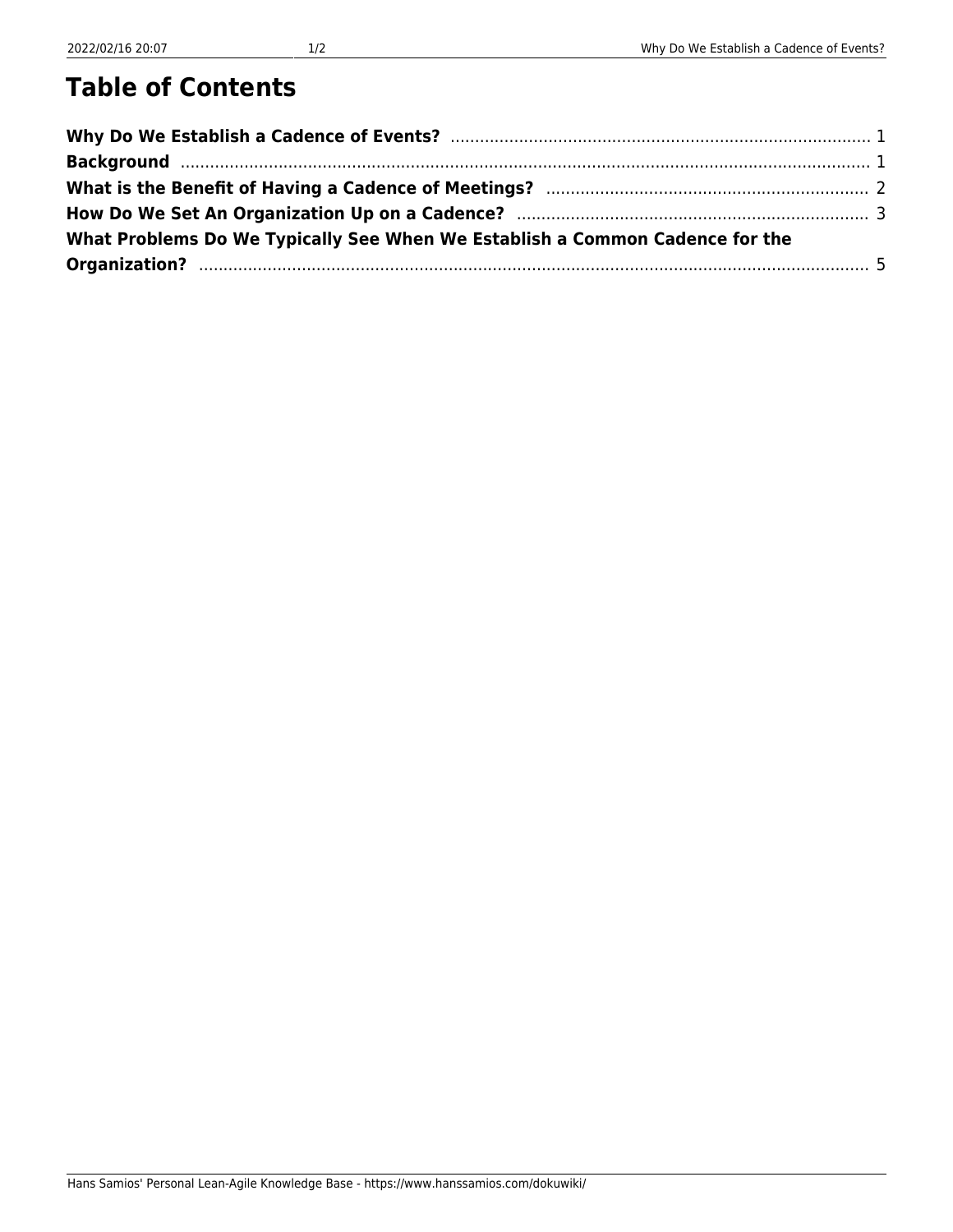#### **Table of Contents**

| What Problems Do We Typically See When We Establish a Common Cadence for the |  |
|------------------------------------------------------------------------------|--|
|                                                                              |  |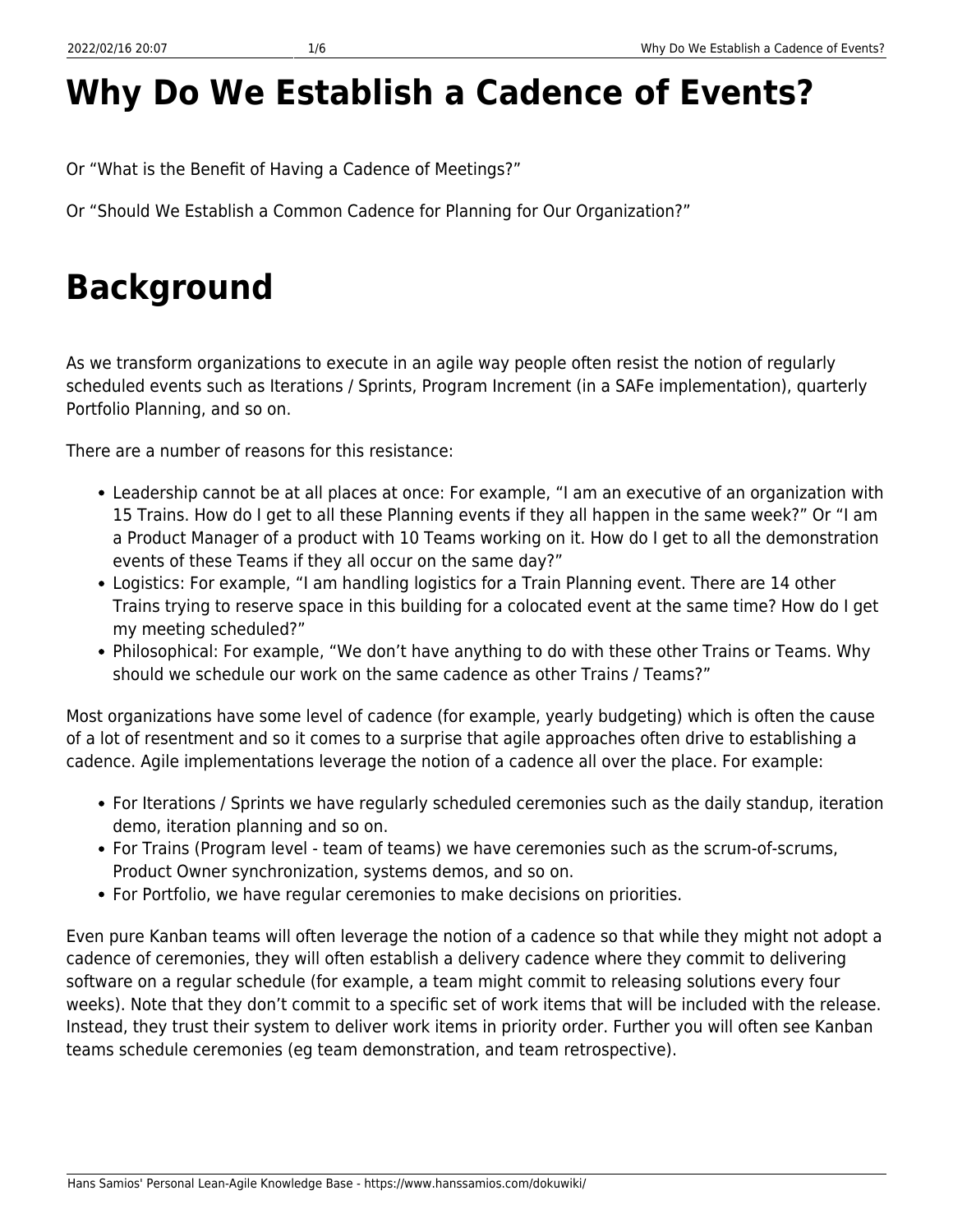## <span id="page-2-0"></span>**Why Do We Establish a Cadence of Events?**

- Or "What is the Benefit of Having a Cadence of Meetings?"
- Or "Should We Establish a Common Cadence for Planning for Our Organization?"

#### <span id="page-2-1"></span>**Background**

As we transform organizations to execute in an agile way people often resist the notion of regularly scheduled events such as Iterations / Sprints, Program Increment (in a SAFe implementation), quarterly Portfolio Planning, and so on.

There are a number of reasons for this resistance:

- Leadership cannot be at all places at once: For example, "I am an executive of an organization with 15 Trains. How do I get to all these Planning events if they all happen in the same week?" Or "I am a Product Manager of a product with 10 Teams working on it. How do I get to all the demonstration events of these Teams if they all occur on the same day?"
- Logistics: For example, "I am handling logistics for a Train Planning event. There are 14 other Trains trying to reserve space in this building for a colocated event at the same time? How do I get my meeting scheduled?"
- Philosophical: For example, "We don't have anything to do with these other Trains or Teams. Why should we schedule our work on the same cadence as other Trains / Teams?"

Most organizations have some level of cadence (for example, yearly budgeting) which is often the cause of a lot of resentment and so it comes to a surprise that agile approaches often drive to establishing a cadence. Agile implementations leverage the notion of a cadence all over the place. For example:

- For Iterations / Sprints we have regularly scheduled ceremonies such as the daily standup, iteration demo, iteration planning and so on.
- For Trains (Program level team of teams) we have ceremonies such as the scrum-of-scrums, Product Owner synchronization, systems demos, and so on.
- For Portfolio, we have regular ceremonies to make decisions on priorities.

Even pure Kanban teams will often leverage the notion of a cadence so that while they might not adopt a cadence of ceremonies, they will often establish a delivery cadence where they commit to delivering software on a regular schedule (for example, a team might commit to releasing solutions every four weeks). Note that they don't commit to a specific set of work items that will be included with the release. Instead, they trust their system to deliver work items in priority order. Further you will often see Kanban teams schedule ceremonies (eg team demonstration, and team retrospective).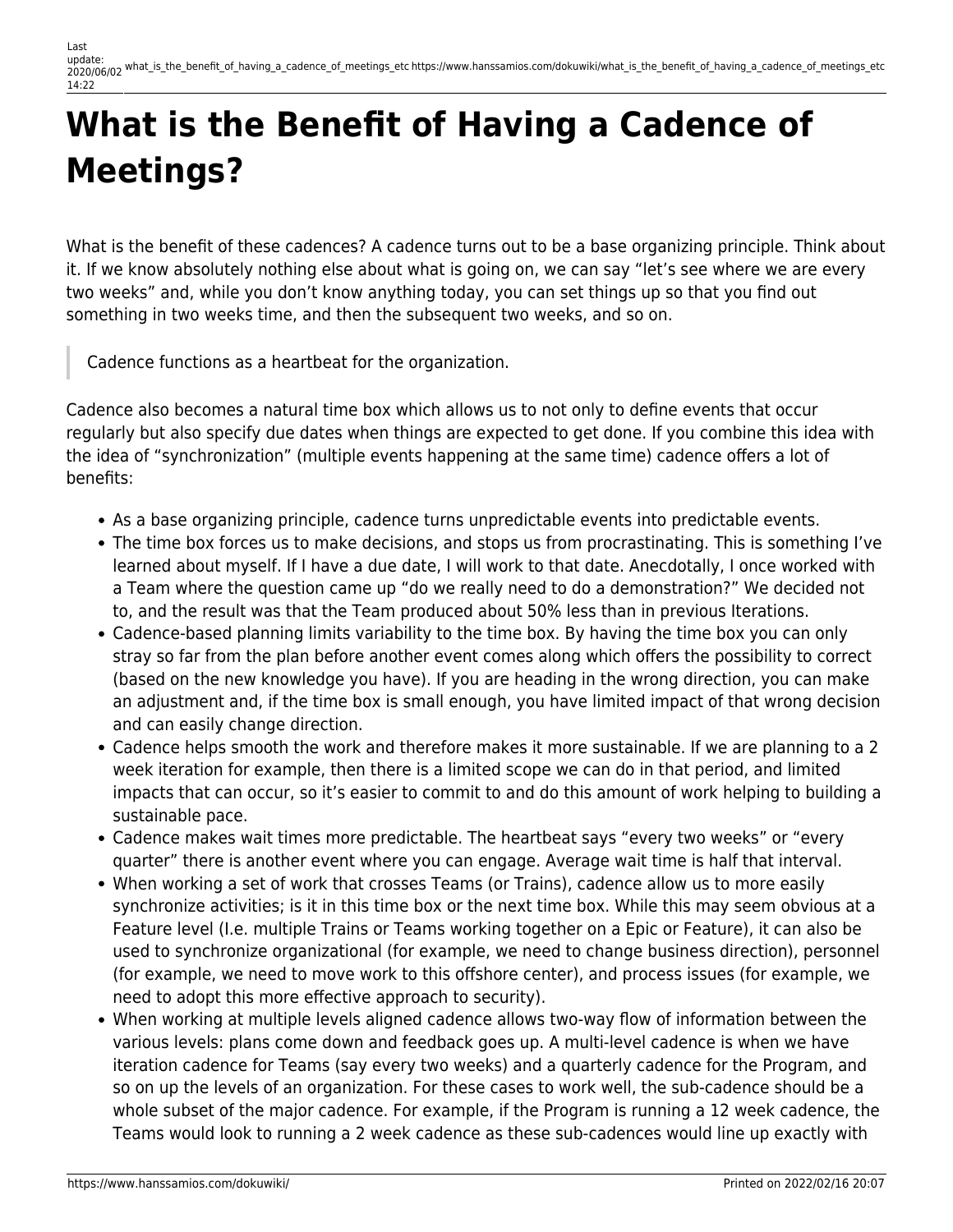# **What is the Benefit of Having a Cadence of Meetings?**

What is the benefit of these cadences? A cadence turns out to be a base organizing principle. Think about it. If we know absolutely nothing else about what is going on, we can say "let's see where we are every two weeks" and, while you don't know anything today, you can set things up so that you find out something in two weeks time, and then the subsequent two weeks, and so on.

Cadence functions as a heartbeat for the organization.

Cadence also becomes a natural time box which allows us to not only to define events that occur regularly but also specify due dates when things are expected to get done. If you combine this idea with the idea of "synchronization" (multiple events happening at the same time) cadence offers a lot of benefits:

- As a base organizing principle, cadence turns unpredictable events into predictable events.
- The time box forces us to make decisions, and stops us from procrastinating. This is something I've learned about myself. If I have a due date, I will work to that date. Anecdotally, I once worked with a Team where the question came up "do we really need to do a demonstration?" We decided not to, and the result was that the Team produced about 50% less than in previous Iterations.
- Cadence-based planning limits variability to the time box. By having the time box you can only stray so far from the plan before another event comes along which offers the possibility to correct (based on the new knowledge you have). If you are heading in the wrong direction, you can make an adjustment and, if the time box is small enough, you have limited impact of that wrong decision and can easily change direction.
- Cadence helps smooth the work and therefore makes it more sustainable. If we are planning to a 2 week iteration for example, then there is a limited scope we can do in that period, and limited impacts that can occur, so it's easier to commit to and do this amount of work helping to building a sustainable pace.
- Cadence makes wait times more predictable. The heartbeat says "every two weeks" or "every quarter" there is another event where you can engage. Average wait time is half that interval.
- When working a set of work that crosses Teams (or Trains), cadence allow us to more easily synchronize activities; is it in this time box or the next time box. While this may seem obvious at a Feature level (I.e. multiple Trains or Teams working together on a Epic or Feature), it can also be used to synchronize organizational (for example, we need to change business direction), personnel (for example, we need to move work to this offshore center), and process issues (for example, we need to adopt this more effective approach to security).
- <span id="page-3-0"></span>When working at multiple levels aligned cadence allows two-way flow of information between the various levels: plans come down and feedback goes up. A multi-level cadence is when we have iteration cadence for Teams (say every two weeks) and a quarterly cadence for the Program, and so on up the levels of an organization. For these cases to work well, the sub-cadence should be a whole subset of the major cadence. For example, if the Program is running a 12 week cadence, the Teams would look to running a 2 week cadence as these sub-cadences would line up exactly with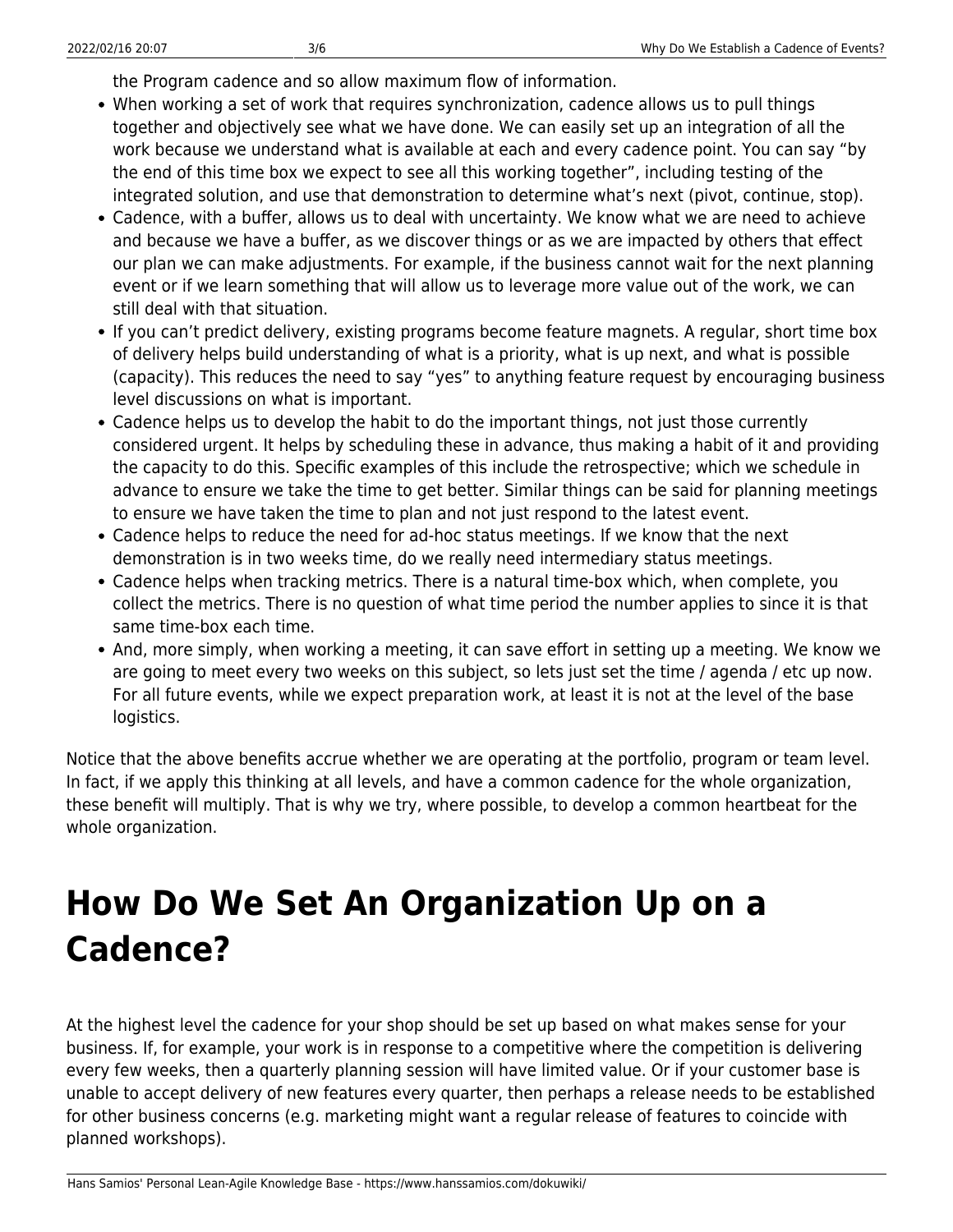the Program cadence and so allow maximum flow of information.

- When working a set of work that requires synchronization, cadence allows us to pull things together and objectively see what we have done. We can easily set up an integration of all the work because we understand what is available at each and every cadence point. You can say "by the end of this time box we expect to see all this working together", including testing of the integrated solution, and use that demonstration to determine what's next (pivot, continue, stop).
- Cadence, with a buffer, allows us to deal with uncertainty. We know what we are need to achieve and because we have a buffer, as we discover things or as we are impacted by others that effect our plan we can make adjustments. For example, if the business cannot wait for the next planning event or if we learn something that will allow us to leverage more value out of the work, we can still deal with that situation.
- If you can't predict delivery, existing programs become feature magnets. A regular, short time box of delivery helps build understanding of what is a priority, what is up next, and what is possible (capacity). This reduces the need to say "yes" to anything feature request by encouraging business level discussions on what is important.
- Cadence helps us to develop the habit to do the important things, not just those currently considered urgent. It helps by scheduling these in advance, thus making a habit of it and providing the capacity to do this. Specific examples of this include the retrospective; which we schedule in advance to ensure we take the time to get better. Similar things can be said for planning meetings to ensure we have taken the time to plan and not just respond to the latest event.
- Cadence helps to reduce the need for ad-hoc status meetings. If we know that the next demonstration is in two weeks time, do we really need intermediary status meetings.
- Cadence helps when tracking metrics. There is a natural time-box which, when complete, you collect the metrics. There is no question of what time period the number applies to since it is that same time-box each time.
- And, more simply, when working a meeting, it can save effort in setting up a meeting. We know we are going to meet every two weeks on this subject, so lets just set the time / agenda / etc up now. For all future events, while we expect preparation work, at least it is not at the level of the base logistics.

Notice that the above benefits accrue whether we are operating at the portfolio, program or team level. In fact, if we apply this thinking at all levels, and have a common cadence for the whole organization, these benefit will multiply. That is why we try, where possible, to develop a common heartbeat for the whole organization.

### <span id="page-4-0"></span>**How Do We Set An Organization Up on a Cadence?**

At the highest level the cadence for your shop should be set up based on what makes sense for your business. If, for example, your work is in response to a competitive where the competition is delivering every few weeks, then a quarterly planning session will have limited value. Or if your customer base is unable to accept delivery of new features every quarter, then perhaps a release needs to be established for other business concerns (e.g. marketing might want a regular release of features to coincide with planned workshops).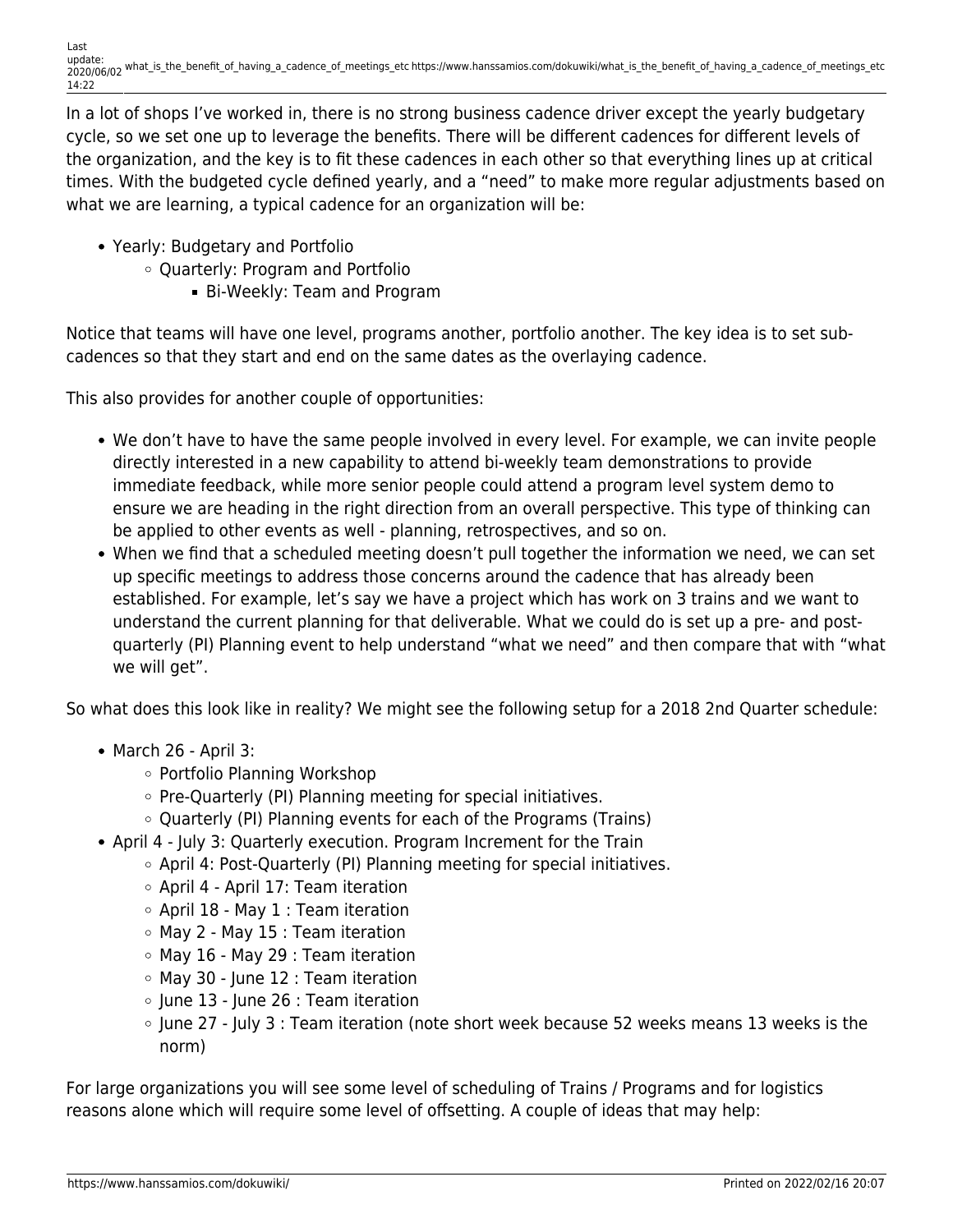In a lot of shops I've worked in, there is no strong business cadence driver except the yearly budgetary cycle, so we set one up to leverage the benefits. There will be different cadences for different levels of the organization, and the key is to fit these cadences in each other so that everything lines up at critical times. With the budgeted cycle defined yearly, and a "need" to make more regular adjustments based on what we are learning, a typical cadence for an organization will be:

- Yearly: Budgetary and Portfolio
	- Quarterly: Program and Portfolio
		- Bi-Weekly: Team and Program

Notice that teams will have one level, programs another, portfolio another. The key idea is to set subcadences so that they start and end on the same dates as the overlaying cadence.

This also provides for another couple of opportunities:

- We don't have to have the same people involved in every level. For example, we can invite people directly interested in a new capability to attend bi-weekly team demonstrations to provide immediate feedback, while more senior people could attend a program level system demo to ensure we are heading in the right direction from an overall perspective. This type of thinking can be applied to other events as well - planning, retrospectives, and so on.
- When we find that a scheduled meeting doesn't pull together the information we need, we can set up specific meetings to address those concerns around the cadence that has already been established. For example, let's say we have a project which has work on 3 trains and we want to understand the current planning for that deliverable. What we could do is set up a pre- and postquarterly (PI) Planning event to help understand "what we need" and then compare that with "what we will get".

So what does this look like in reality? We might see the following setup for a 2018 2nd Quarter schedule:

- March 26 April 3:
	- Portfolio Planning Workshop
	- Pre-Quarterly (PI) Planning meeting for special initiatives.
	- Quarterly (PI) Planning events for each of the Programs (Trains)
- April 4 July 3: Quarterly execution. Program Increment for the Train
	- April 4: Post-Quarterly (PI) Planning meeting for special initiatives.
		- $\circ$  April 4 April 17: Team iteration
		- $\circ$  April 18 May 1 : Team iteration
		- May 2 May 15 : Team iteration
		- $\circ$  May 16 May 29 : Team iteration
		- May 30 June 12 : Team iteration
		- o June 13 June 26 : Team iteration
		- $\circ$  June 27 July 3 : Team iteration (note short week because 52 weeks means 13 weeks is the norm)

For large organizations you will see some level of scheduling of Trains / Programs and for logistics reasons alone which will require some level of offsetting. A couple of ideas that may help: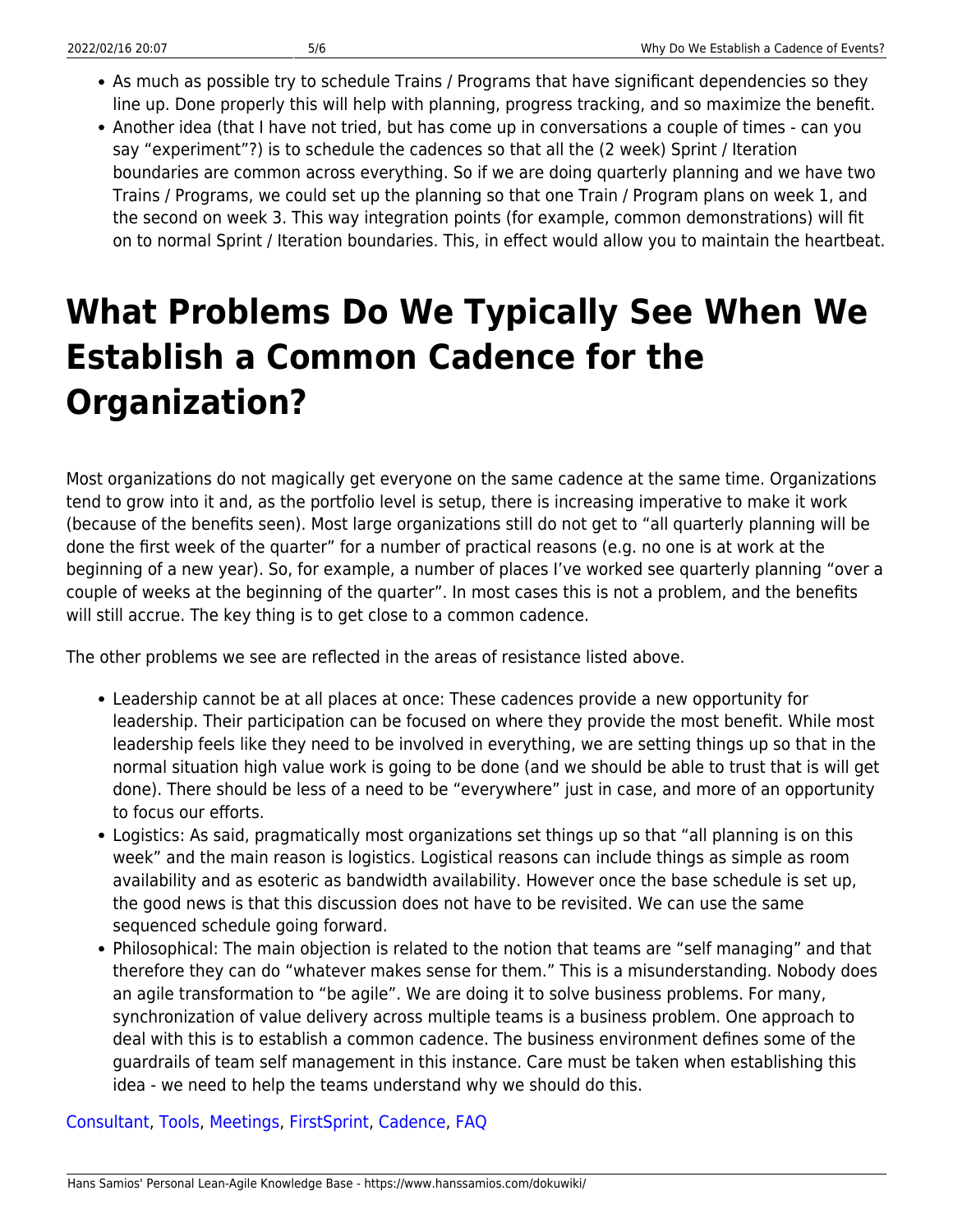- As much as possible try to schedule Trains / Programs that have significant dependencies so they line up. Done properly this will help with planning, progress tracking, and so maximize the benefit.
- Another idea (that I have not tried, but has come up in conversations a couple of times can you say "experiment"?) is to schedule the cadences so that all the (2 week) Sprint / Iteration boundaries are common across everything. So if we are doing quarterly planning and we have two Trains / Programs, we could set up the planning so that one Train / Program plans on week 1, and the second on week 3. This way integration points (for example, common demonstrations) will fit on to normal Sprint / Iteration boundaries. This, in effect would allow you to maintain the heartbeat.

## <span id="page-6-0"></span>**What Problems Do We Typically See When We Establish a Common Cadence for the Organization?**

Most organizations do not magically get everyone on the same cadence at the same time. Organizations tend to grow into it and, as the portfolio level is setup, there is increasing imperative to make it work (because of the benefits seen). Most large organizations still do not get to "all quarterly planning will be done the first week of the quarter" for a number of practical reasons (e.g. no one is at work at the beginning of a new year). So, for example, a number of places I've worked see quarterly planning "over a couple of weeks at the beginning of the quarter". In most cases this is not a problem, and the benefits will still accrue. The key thing is to get close to a common cadence.

The other problems we see are reflected in the areas of resistance listed above.

- Leadership cannot be at all places at once: These cadences provide a new opportunity for leadership. Their participation can be focused on where they provide the most benefit. While most leadership feels like they need to be involved in everything, we are setting things up so that in the normal situation high value work is going to be done (and we should be able to trust that is will get done). There should be less of a need to be "everywhere" just in case, and more of an opportunity to focus our efforts.
- Logistics: As said, pragmatically most organizations set things up so that "all planning is on this week" and the main reason is logistics. Logistical reasons can include things as simple as room availability and as esoteric as bandwidth availability. However once the base schedule is set up, the good news is that this discussion does not have to be revisited. We can use the same sequenced schedule going forward.
- Philosophical: The main objection is related to the notion that teams are "self managing" and that therefore they can do "whatever makes sense for them." This is a misunderstanding. Nobody does an agile transformation to "be agile". We are doing it to solve business problems. For many, synchronization of value delivery across multiple teams is a business problem. One approach to deal with this is to establish a common cadence. The business environment defines some of the guardrails of team self management in this instance. Care must be taken when establishing this idea - we need to help the teams understand why we should do this.

[Consultant](https://www.hanssamios.com/dokuwiki/tag:consultant?do=showtag&tag=Consultant), [Tools](https://www.hanssamios.com/dokuwiki/tag:tools?do=showtag&tag=Tools), [Meetings,](https://www.hanssamios.com/dokuwiki/tag:meetings?do=showtag&tag=Meetings) [FirstSprint](https://www.hanssamios.com/dokuwiki/tag:firstsprint?do=showtag&tag=FirstSprint), [Cadence,](https://www.hanssamios.com/dokuwiki/tag:cadence?do=showtag&tag=Cadence) [FAQ](https://www.hanssamios.com/dokuwiki/tag:faq?do=showtag&tag=FAQ)